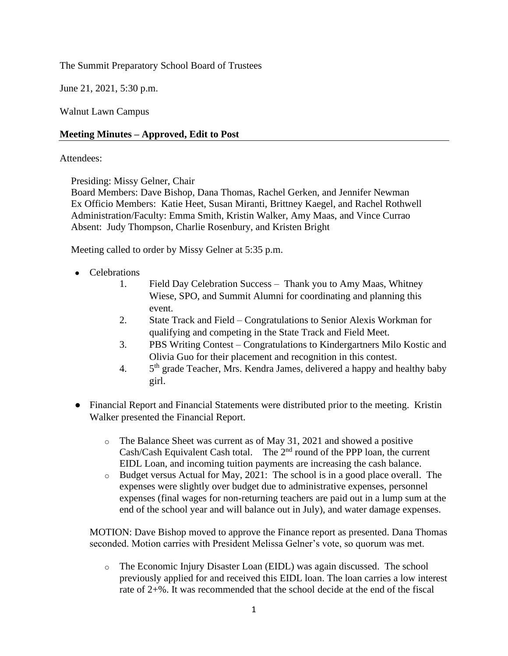The Summit Preparatory School Board of Trustees

June 21, 2021, 5:30 p.m.

Walnut Lawn Campus

# **Meeting Minutes – Approved, Edit to Post**

### Attendees:

Presiding: Missy Gelner, Chair

Board Members: Dave Bishop, Dana Thomas, Rachel Gerken, and Jennifer Newman Ex Officio Members: Katie Heet, Susan Miranti, Brittney Kaegel, and Rachel Rothwell Administration/Faculty: Emma Smith, Kristin Walker, Amy Maas, and Vince Currao Absent: Judy Thompson, Charlie Rosenbury, and Kristen Bright

Meeting called to order by Missy Gelner at 5:35 p.m.

- Celebrations
	- 1. Field Day Celebration Success Thank you to Amy Maas, Whitney Wiese, SPO, and Summit Alumni for coordinating and planning this event.
	- 2. State Track and Field Congratulations to Senior Alexis Workman for qualifying and competing in the State Track and Field Meet.
	- 3. PBS Writing Contest Congratulations to Kindergartners Milo Kostic and Olivia Guo for their placement and recognition in this contest.
	- $4.$  $5<sup>th</sup>$  grade Teacher, Mrs. Kendra James, delivered a happy and healthy baby girl.
- Financial Report and Financial Statements were distributed prior to the meeting. Kristin Walker presented the Financial Report.
	- o The Balance Sheet was current as of May 31, 2021 and showed a positive Cash/Cash Equivalent Cash total. The  $2<sup>nd</sup>$  round of the PPP loan, the current EIDL Loan, and incoming tuition payments are increasing the cash balance.
	- o Budget versus Actual for May, 2021: The school is in a good place overall. The expenses were slightly over budget due to administrative expenses, personnel expenses (final wages for non-returning teachers are paid out in a lump sum at the end of the school year and will balance out in July), and water damage expenses.

MOTION: Dave Bishop moved to approve the Finance report as presented. Dana Thomas seconded. Motion carries with President Melissa Gelner's vote, so quorum was met.

o The Economic Injury Disaster Loan (EIDL) was again discussed. The school previously applied for and received this EIDL loan. The loan carries a low interest rate of 2+%. It was recommended that the school decide at the end of the fiscal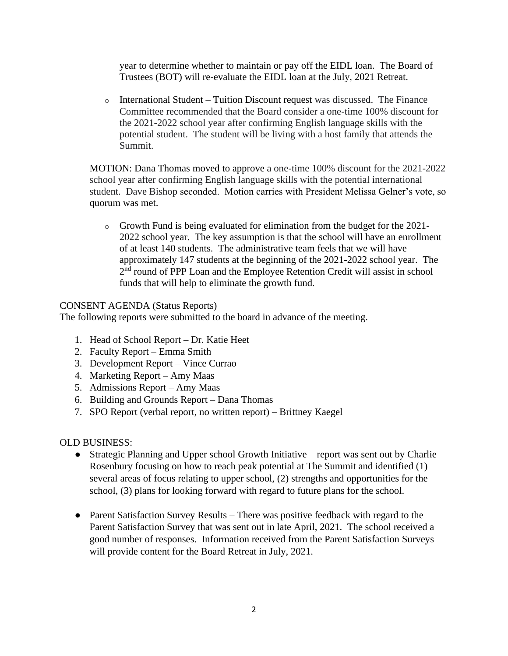year to determine whether to maintain or pay off the EIDL loan. The Board of Trustees (BOT) will re-evaluate the EIDL loan at the July, 2021 Retreat.

 $\circ$  International Student – Tuition Discount request was discussed. The Finance Committee recommended that the Board consider a one-time 100% discount for the 2021-2022 school year after confirming English language skills with the potential student. The student will be living with a host family that attends the Summit.

MOTION: Dana Thomas moved to approve a one-time 100% discount for the 2021-2022 school year after confirming English language skills with the potential international student. Dave Bishop seconded. Motion carries with President Melissa Gelner's vote, so quorum was met.

o Growth Fund is being evaluated for elimination from the budget for the 2021- 2022 school year. The key assumption is that the school will have an enrollment of at least 140 students. The administrative team feels that we will have approximately 147 students at the beginning of the 2021-2022 school year. The 2<sup>nd</sup> round of PPP Loan and the Employee Retention Credit will assist in school funds that will help to eliminate the growth fund.

# CONSENT AGENDA (Status Reports)

The following reports were submitted to the board in advance of the meeting.

- 1. Head of School Report Dr. Katie Heet
- 2. Faculty Report Emma Smith
- 3. Development Report Vince Currao
- 4. Marketing Report Amy Maas
- 5. Admissions Report Amy Maas
- 6. Building and Grounds Report Dana Thomas
- 7. SPO Report (verbal report, no written report) Brittney Kaegel

## OLD BUSINESS:

- Strategic Planning and Upper school Growth Initiative report was sent out by Charlie Rosenbury focusing on how to reach peak potential at The Summit and identified (1) several areas of focus relating to upper school, (2) strengths and opportunities for the school, (3) plans for looking forward with regard to future plans for the school.
- Parent Satisfaction Survey Results There was positive feedback with regard to the Parent Satisfaction Survey that was sent out in late April, 2021. The school received a good number of responses. Information received from the Parent Satisfaction Surveys will provide content for the Board Retreat in July, 2021.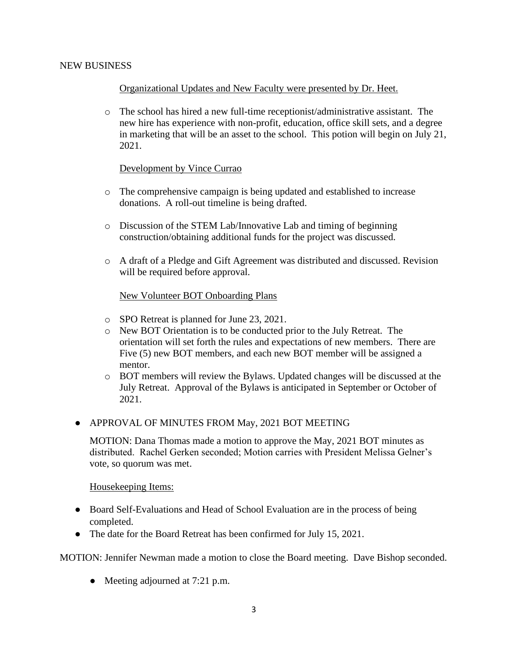### NEW BUSINESS

## Organizational Updates and New Faculty were presented by Dr. Heet.

o The school has hired a new full-time receptionist/administrative assistant. The new hire has experience with non-profit, education, office skill sets, and a degree in marketing that will be an asset to the school. This potion will begin on July 21, 2021.

#### Development by Vince Currao

- o The comprehensive campaign is being updated and established to increase donations. A roll-out timeline is being drafted.
- o Discussion of the STEM Lab/Innovative Lab and timing of beginning construction/obtaining additional funds for the project was discussed.
- o A draft of a Pledge and Gift Agreement was distributed and discussed. Revision will be required before approval.

#### New Volunteer BOT Onboarding Plans

- o SPO Retreat is planned for June 23, 2021.
- o New BOT Orientation is to be conducted prior to the July Retreat. The orientation will set forth the rules and expectations of new members. There are Five (5) new BOT members, and each new BOT member will be assigned a mentor.
- o BOT members will review the Bylaws. Updated changes will be discussed at the July Retreat. Approval of the Bylaws is anticipated in September or October of 2021.
- APPROVAL OF MINUTES FROM May, 2021 BOT MEETING

MOTION: Dana Thomas made a motion to approve the May, 2021 BOT minutes as distributed. Rachel Gerken seconded; Motion carries with President Melissa Gelner's vote, so quorum was met.

Housekeeping Items:

- Board Self-Evaluations and Head of School Evaluation are in the process of being completed.
- The date for the Board Retreat has been confirmed for July 15, 2021.

MOTION: Jennifer Newman made a motion to close the Board meeting. Dave Bishop seconded.

• Meeting adjourned at 7:21 p.m.